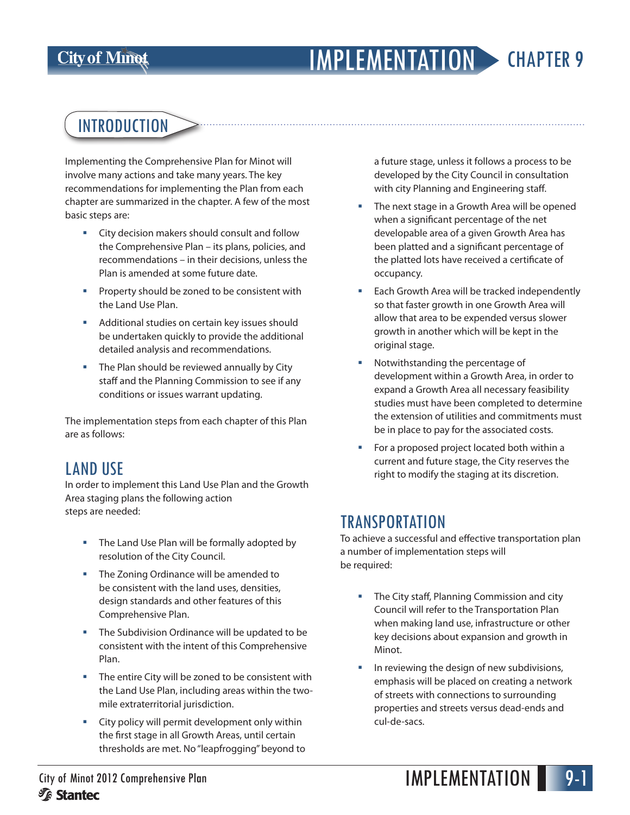### **City of Minot**

# IMPLEMENTATION CHAPTER 9

# INTRODUCTION

Implementing the Comprehensive Plan for Minot will involve many actions and take many years. The key recommendations for implementing the Plan from each chapter are summarized in the chapter. A few of the most basic steps are:

- City decision makers should consult and follow the Comprehensive Plan – its plans, policies, and recommendations – in their decisions, unless the Plan is amended at some future date.
- Property should be zoned to be consistent with the Land Use Plan.
- **Additional studies on certain key issues should** be undertaken quickly to provide the additional detailed analysis and recommendations.
- The Plan should be reviewed annually by City staff and the Planning Commission to see if any conditions or issues warrant updating.

The implementation steps from each chapter of this Plan are as follows:

### LAND USE

In order to implement this Land Use Plan and the Growth Area staging plans the following action steps are needed:

- **The Land Use Plan will be formally adopted by** resolution of the City Council.
- The Zoning Ordinance will be amended to be consistent with the land uses, densities, design standards and other features of this Comprehensive Plan.
- The Subdivision Ordinance will be updated to be consistent with the intent of this Comprehensive Plan.
- The entire City will be zoned to be consistent with the Land Use Plan, including areas within the twomile extraterritorial jurisdiction.
- City policy will permit development only within the first stage in all Growth Areas, until certain thresholds are met. No "leapfrogging" beyond to

a future stage, unless it follows a process to be developed by the City Council in consultation with city Planning and Engineering staff.

- The next stage in a Growth Area will be opened when a significant percentage of the net developable area of a given Growth Area has been platted and a significant percentage of the platted lots have received a certificate of occupancy.
- Each Growth Area will be tracked independently so that faster growth in one Growth Area will allow that area to be expended versus slower growth in another which will be kept in the original stage.
- Notwithstanding the percentage of development within a Growth Area, in order to expand a Growth Area all necessary feasibility studies must have been completed to determine the extension of utilities and commitments must be in place to pay for the associated costs.
- For a proposed project located both within a current and future stage, the City reserves the right to modify the staging at its discretion.

### **TRANSPORTATION**

To achieve a successful and effective transportation plan a number of implementation steps will be required:

- The City staff, Planning Commission and city Council will refer to the Transportation Plan when making land use, infrastructure or other key decisions about expansion and growth in Minot.
- **IF IN** reviewing the design of new subdivisions, emphasis will be placed on creating a network of streets with connections to surrounding properties and streets versus dead-ends and cul-de-sacs.

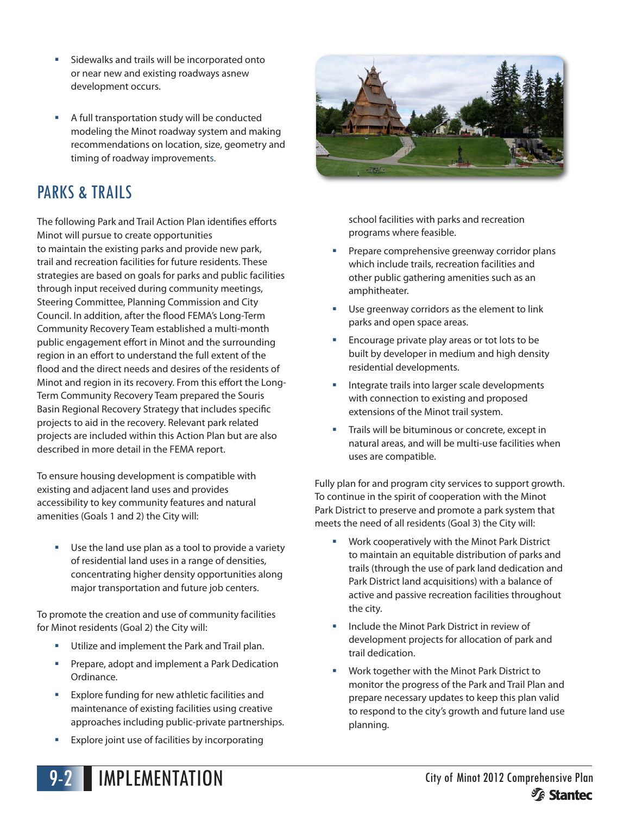- **Sidewalks and trails will be incorporated onto** or near new and existing roadways asnew development occurs.
- A full transportation study will be conducted modeling the Minot roadway system and making recommendations on location, size, geometry and timing of roadway improvements.

## PARKS & TRAILS

The following Park and Trail Action Plan identifies efforts Minot will pursue to create opportunities to maintain the existing parks and provide new park, trail and recreation facilities for future residents. These strategies are based on goals for parks and public facilities through input received during community meetings, Steering Committee, Planning Commission and City Council. In addition, after the flood FEMA's Long-Term Community Recovery Team established a multi-month public engagement effort in Minot and the surrounding region in an effort to understand the full extent of the flood and the direct needs and desires of the residents of Minot and region in its recovery. From this effort the Long-Term Community Recovery Team prepared the Souris Basin Regional Recovery Strategy that includes specific projects to aid in the recovery. Relevant park related projects are included within this Action Plan but are also described in more detail in the FEMA report.

To ensure housing development is compatible with existing and adjacent land uses and provides accessibility to key community features and natural amenities (Goals 1 and 2) the City will:

**Use the land use plan as a tool to provide a variety** of residential land uses in a range of densities, concentrating higher density opportunities along major transportation and future job centers.

To promote the creation and use of community facilities for Minot residents (Goal 2) the City will:

- Utilize and implement the Park and Trail plan.
- **Prepare, adopt and implement a Park Dedication** Ordinance.
- **Explore funding for new athletic facilities and** maintenance of existing facilities using creative approaches including public-private partnerships.
- **Explore joint use of facilities by incorporating**



school facilities with parks and recreation programs where feasible.

- Prepare comprehensive greenway corridor plans which include trails, recreation facilities and other public gathering amenities such as an amphitheater.
- **Use greenway corridors as the element to link** parks and open space areas.
- Encourage private play areas or tot lots to be built by developer in medium and high density residential developments.
- **Integrate trails into larger scale developments** with connection to existing and proposed extensions of the Minot trail system.
- Trails will be bituminous or concrete, except in natural areas, and will be multi-use facilities when uses are compatible.

Fully plan for and program city services to support growth. To continue in the spirit of cooperation with the Minot Park District to preserve and promote a park system that meets the need of all residents (Goal 3) the City will:

- Work cooperatively with the Minot Park District to maintain an equitable distribution of parks and trails (through the use of park land dedication and Park District land acquisitions) with a balance of active and passive recreation facilities throughout the city.
- **Include the Minot Park District in review of** development projects for allocation of park and trail dedication.
- Work together with the Minot Park District to monitor the progress of the Park and Trail Plan and prepare necessary updates to keep this plan valid to respond to the city's growth and future land use planning.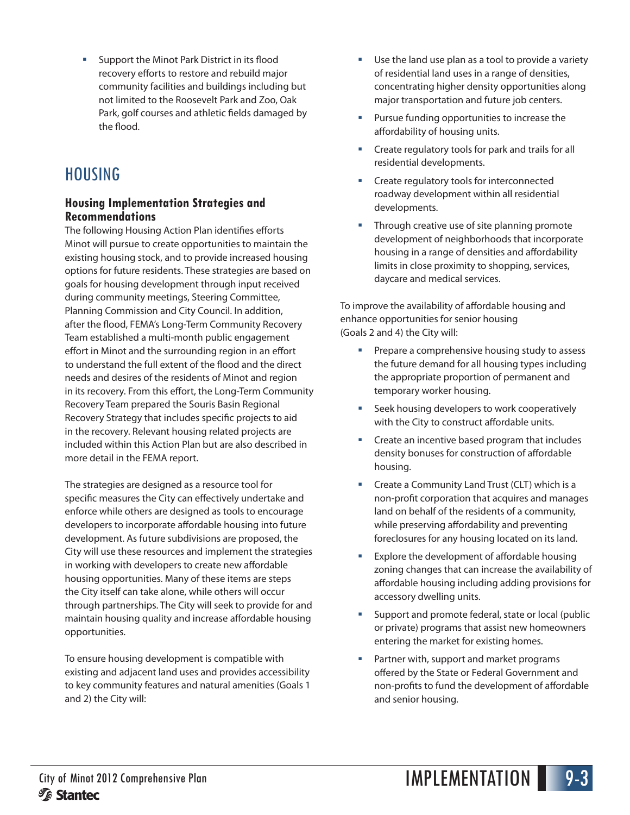Support the Minot Park District in its flood recovery efforts to restore and rebuild major community facilities and buildings including but not limited to the Roosevelt Park and Zoo, Oak Park, golf courses and athletic fields damaged by the flood.

## HOUSING

#### **Housing Implementation Strategies and Recommendations**

The following Housing Action Plan identifies efforts Minot will pursue to create opportunities to maintain the existing housing stock, and to provide increased housing options for future residents. These strategies are based on goals for housing development through input received during community meetings, Steering Committee, Planning Commission and City Council. In addition, after the flood, FEMA's Long-Term Community Recovery Team established a multi-month public engagement effort in Minot and the surrounding region in an effort to understand the full extent of the flood and the direct needs and desires of the residents of Minot and region in its recovery. From this effort, the Long-Term Community Recovery Team prepared the Souris Basin Regional Recovery Strategy that includes specific projects to aid in the recovery. Relevant housing related projects are included within this Action Plan but are also described in more detail in the FEMA report.

The strategies are designed as a resource tool for specific measures the City can effectively undertake and enforce while others are designed as tools to encourage developers to incorporate affordable housing into future development. As future subdivisions are proposed, the City will use these resources and implement the strategies in working with developers to create new affordable housing opportunities. Many of these items are steps the City itself can take alone, while others will occur through partnerships. The City will seek to provide for and maintain housing quality and increase affordable housing opportunities.

To ensure housing development is compatible with existing and adjacent land uses and provides accessibility to key community features and natural amenities (Goals 1 and 2) the City will:

- Use the land use plan as a tool to provide a variety of residential land uses in a range of densities, concentrating higher density opportunities along major transportation and future job centers.
- Pursue funding opportunities to increase the affordability of housing units.
- Create regulatory tools for park and trails for all residential developments.
- Create regulatory tools for interconnected roadway development within all residential developments.
- Through creative use of site planning promote development of neighborhoods that incorporate housing in a range of densities and affordability limits in close proximity to shopping, services, daycare and medical services.

To improve the availability of affordable housing and enhance opportunities for senior housing (Goals 2 and 4) the City will:

- Prepare a comprehensive housing study to assess the future demand for all housing types including the appropriate proportion of permanent and temporary worker housing.
- **Seek housing developers to work cooperatively** with the City to construct affordable units.
- Create an incentive based program that includes density bonuses for construction of affordable housing.
- **EXECT:** Create a Community Land Trust (CLT) which is a non-profit corporation that acquires and manages land on behalf of the residents of a community, while preserving affordability and preventing foreclosures for any housing located on its land.
- Explore the development of affordable housing zoning changes that can increase the availability of affordable housing including adding provisions for accessory dwelling units.
- Support and promote federal, state or local (public or private) programs that assist new homeowners entering the market for existing homes.
- **Partner with, support and market programs** offered by the State or Federal Government and non-profits to fund the development of affordable and senior housing.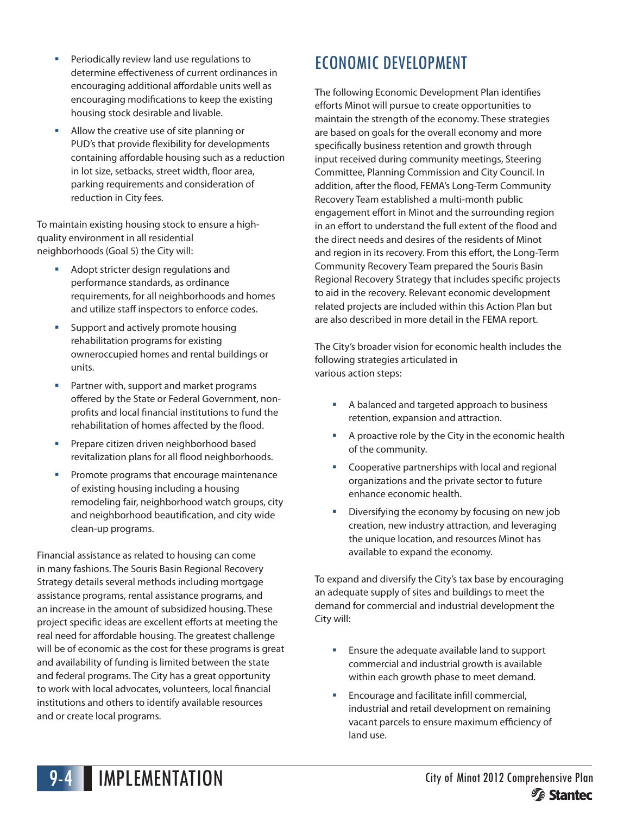- **Periodically review land use regulations to** determine effectiveness of current ordinances in encouraging additional affordable units well as encouraging modifications to keep the existing housing stock desirable and livable.
- Allow the creative use of site planning or PUD's that provide flexibility for developments containing affordable housing such as a reduction in lot size, setbacks, street width, floor area, parking requirements and consideration of reduction in City fees.

To maintain existing housing stock to ensure a highquality environment in all residential neighborhoods (Goal 5) the City will:

- Adopt stricter design regulations and performance standards, as ordinance requirements, for all neighborhoods and homes and utilize staff inspectors to enforce codes.
- **Support and actively promote housing** rehabilitation programs for existing owneroccupied homes and rental buildings or units.
- **Partner with, support and market programs** offered by the State or Federal Government, nonprofits and local financial institutions to fund the rehabilitation of homes affected by the flood.
- **Prepare citizen driven neighborhood based** revitalization plans for all flood neighborhoods.
- **Promote programs that encourage maintenance** of existing housing including a housing remodeling fair, neighborhood watch groups, city and neighborhood beautification, and city wide clean-up programs.

Financial assistance as related to housing can come in many fashions. The Souris Basin Regional Recovery Strategy details several methods including mortgage assistance programs, rental assistance programs, and an increase in the amount of subsidized housing. These project specific ideas are excellent efforts at meeting the real need for affordable housing. The greatest challenge will be of economic as the cost for these programs is great and availability of funding is limited between the state and federal programs. The City has a great opportunity to work with local advocates, volunteers, local financial institutions and others to identify available resources and or create local programs.

# ECONOMIC DEVELOPMENT

The following Economic Development Plan identifies efforts Minot will pursue to create opportunities to maintain the strength of the economy. These strategies are based on goals for the overall economy and more specifically business retention and growth through input received during community meetings, Steering Committee, Planning Commission and City Council. In addition, after the flood, FEMA's Long-Term Community Recovery Team established a multi-month public engagement effort in Minot and the surrounding region in an effort to understand the full extent of the flood and the direct needs and desires of the residents of Minot and region in its recovery. From this effort, the Long-Term Community Recovery Team prepared the Souris Basin Regional Recovery Strategy that includes specific projects to aid in the recovery. Relevant economic development related projects are included within this Action Plan but are also described in more detail in the FEMA report.

The City's broader vision for economic health includes the following strategies articulated in various action steps:

- A balanced and targeted approach to business retention, expansion and attraction.
- A proactive role by the City in the economic health of the community.
- **EXECOOPERATIVE PART COOPERATIVE PARTLE STATE** organizations and the private sector to future enhance economic health.
- Diversifying the economy by focusing on new job creation, new industry attraction, and leveraging the unique location, and resources Minot has available to expand the economy.

To expand and diversify the City's tax base by encouraging an adequate supply of sites and buildings to meet the demand for commercial and industrial development the City will:

- **Ensure the adequate available land to support** commercial and industrial growth is available within each growth phase to meet demand.
- **Encourage and facilitate infill commercial,** industrial and retail development on remaining vacant parcels to ensure maximum efficiency of land use.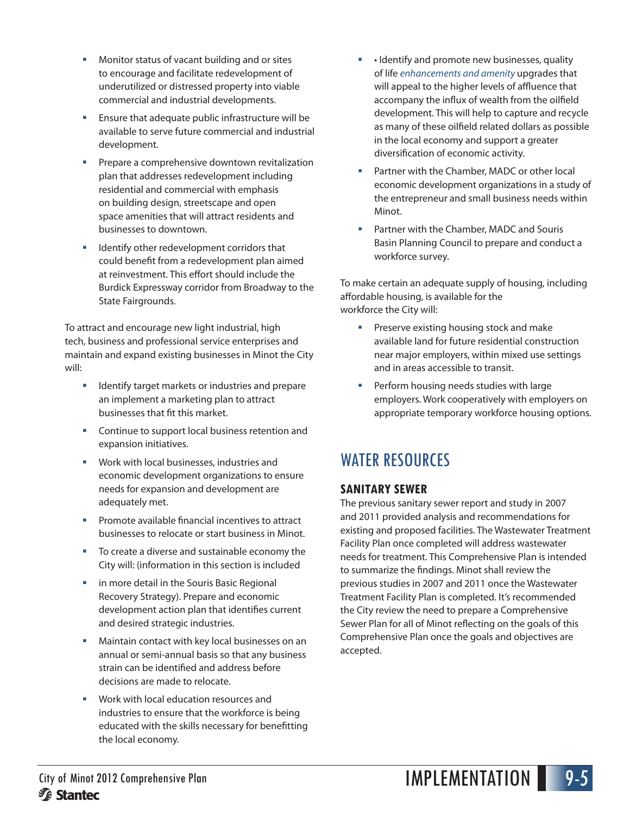- Monitor status of vacant building and or sites to encourage and facilitate redevelopment of underutilized or distressed property into viable commercial and industrial developments.
- Ensure that adequate public infrastructure will be available to serve future commercial and industrial development.
- **Prepare a comprehensive downtown revitalization** plan that addresses redevelopment including residential and commercial with emphasis on building design, streetscape and open space amenities that will attract residents and businesses to downtown.
- Identify other redevelopment corridors that could benefit from a redevelopment plan aimed at reinvestment. This effort should include the Burdick Expressway corridor from Broadway to the State Fairgrounds.

To attract and encourage new light industrial, high tech, business and professional service enterprises and maintain and expand existing businesses in Minot the City will:

- Identify target markets or industries and prepare an implement a marketing plan to attract businesses that fit this market.
- **Continue to support local business retention and** expansion initiatives.
- **Work with local businesses, industries and** economic development organizations to ensure needs for expansion and development are adequately met.
- **Promote available financial incentives to attract** businesses to relocate or start business in Minot.
- To create a diverse and sustainable economy the City will: (information in this section is included
- **II** in more detail in the Souris Basic Regional Recovery Strategy). Prepare and economic development action plan that identifies current and desired strategic industries.
- Maintain contact with key local businesses on an annual or semi-annual basis so that any business strain can be identified and address before decisions are made to relocate.
- Work with local education resources and industries to ensure that the workforce is being educated with the skills necessary for benefitting the local economy.
- Identify and promote new businesses, quality of life *enhancements and amenity* upgrades that will appeal to the higher levels of affluence that accompany the influx of wealth from the oilfield development. This will help to capture and recycle as many of these oilfield related dollars as possible in the local economy and support a greater diversification of economic activity.
- Partner with the Chamber, MADC or other local economic development organizations in a study of the entrepreneur and small business needs within Minot.
- Partner with the Chamber, MADC and Souris Basin Planning Council to prepare and conduct a workforce survey.

To make certain an adequate supply of housing, including affordable housing, is available for the workforce the City will:

- **Preserve existing housing stock and make** available land for future residential construction near major employers, within mixed use settings and in areas accessible to transit.
- Perform housing needs studies with large employers. Work cooperatively with employers on appropriate temporary workforce housing options.

## WATER RESOURCES

#### **SANITARY SEWER**

The previous sanitary sewer report and study in 2007 and 2011 provided analysis and recommendations for existing and proposed facilities. The Wastewater Treatment Facility Plan once completed will address wastewater needs for treatment. This Comprehensive Plan is intended to summarize the findings. Minot shall review the previous studies in 2007 and 2011 once the Wastewater Treatment Facility Plan is completed. It's recommended the City review the need to prepare a Comprehensive Sewer Plan for all of Minot reflecting on the goals of this Comprehensive Plan once the goals and objectives are accepted.

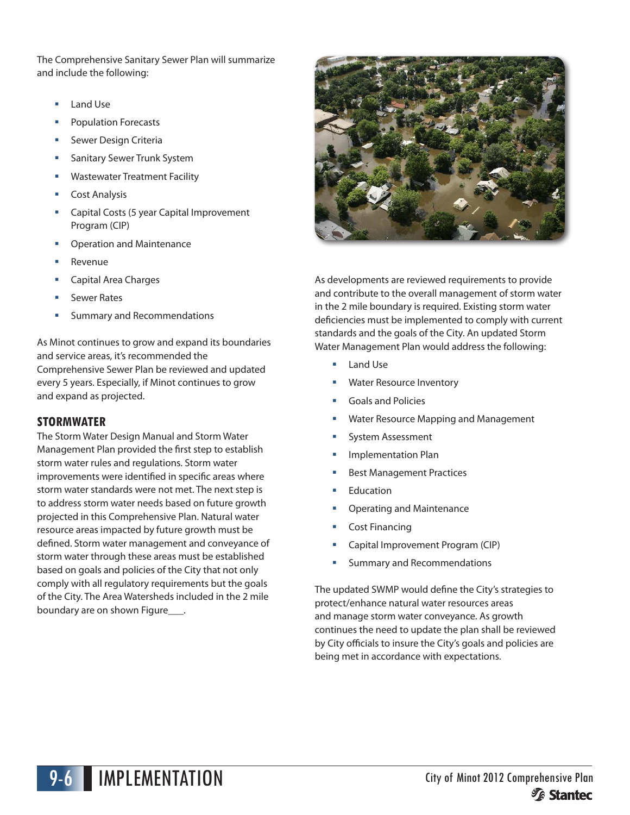The Comprehensive Sanitary Sewer Plan will summarize and include the following:

- Land Use
- Population Forecasts
- Sewer Design Criteria
- Sanitary Sewer Trunk System
- Wastewater Treatment Facility
- Cost Analysis
- Capital Costs (5 year Capital Improvement Program (CIP)
- Operation and Maintenance
- Revenue
- Capital Area Charges
- Sewer Rates
- Summary and Recommendations

As Minot continues to grow and expand its boundaries and service areas, it's recommended the Comprehensive Sewer Plan be reviewed and updated every 5 years. Especially, if Minot continues to grow and expand as projected.

#### **STORMWATER**

The Storm Water Design Manual and Storm Water Management Plan provided the first step to establish storm water rules and regulations. Storm water improvements were identified in specific areas where storm water standards were not met. The next step is to address storm water needs based on future growth projected in this Comprehensive Plan. Natural water resource areas impacted by future growth must be defined. Storm water management and conveyance of storm water through these areas must be established based on goals and policies of the City that not only comply with all regulatory requirements but the goals of the City. The Area Watersheds included in the 2 mile boundary are on shown Figure\_\_\_\_.



As developments are reviewed requirements to provide and contribute to the overall management of storm water in the 2 mile boundary is required. Existing storm water deficiencies must be implemented to comply with current standards and the goals of the City. An updated Storm Water Management Plan would address the following:

- Land Use
- Water Resource Inventory
- Goals and Policies
- Water Resource Mapping and Management
- System Assessment
- Implementation Plan
- Best Management Practices
- Education
- Operating and Maintenance
- Cost Financing
- Capital Improvement Program (CIP)
- Summary and Recommendations

The updated SWMP would define the City's strategies to protect/enhance natural water resources areas and manage storm water conveyance. As growth continues the need to update the plan shall be reviewed by City officials to insure the City's goals and policies are being met in accordance with expectations.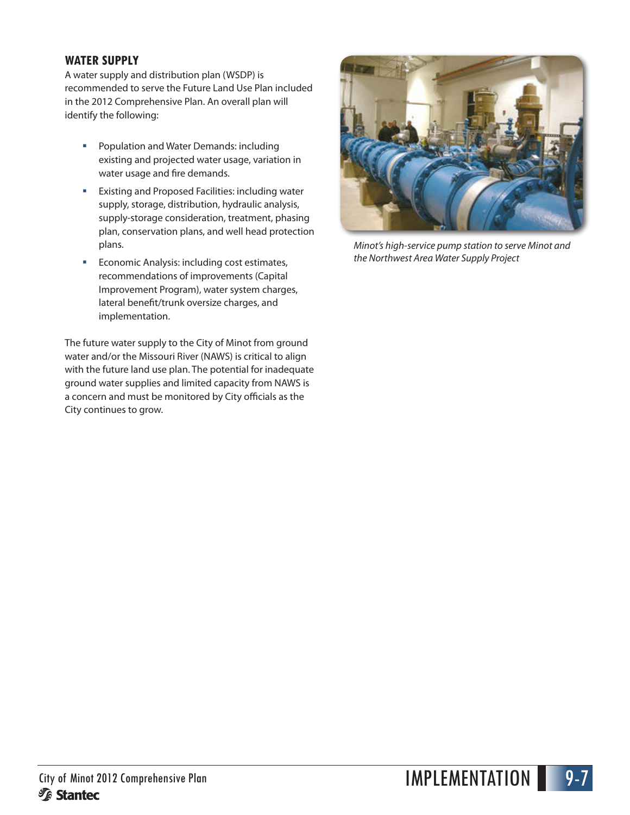#### **WATER SUPPLY**

A water supply and distribution plan (WSDP) is recommended to serve the Future Land Use Plan included in the 2012 Comprehensive Plan. An overall plan will identify the following:

- **Population and Water Demands: including** existing and projected water usage, variation in water usage and fire demands.
- **Existing and Proposed Facilities: including water** supply, storage, distribution, hydraulic analysis, supply-storage consideration, treatment, phasing plan, conservation plans, and well head protection plans.
- **Economic Analysis: including cost estimates,** recommendations of improvements (Capital Improvement Program), water system charges, lateral benefit/trunk oversize charges, and implementation.

The future water supply to the City of Minot from ground water and/or the Missouri River (NAWS) is critical to align with the future land use plan. The potential for inadequate ground water supplies and limited capacity from NAWS is a concern and must be monitored by City officials as the City continues to grow.



*Minot's high-service pump station to serve Minot and the Northwest Area Water Supply Project*

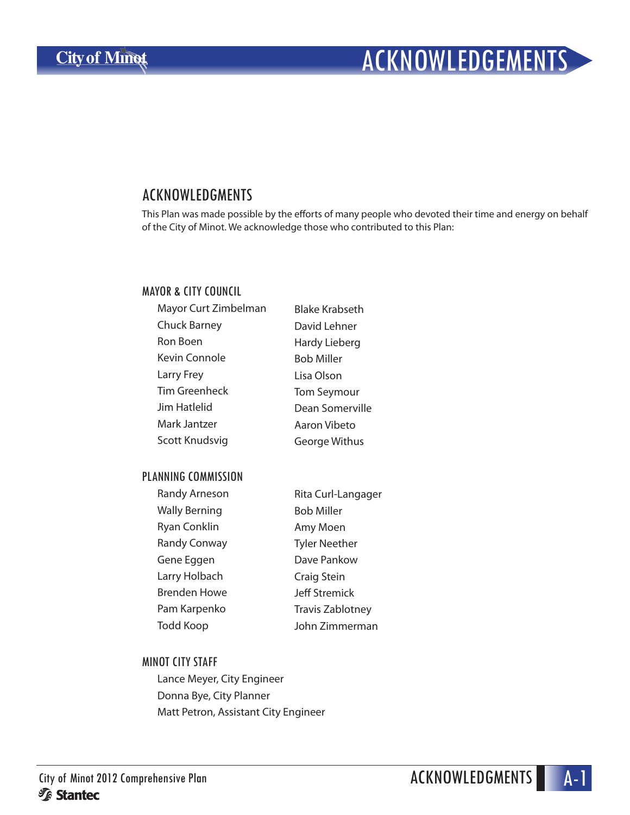# ACKNOWLEDGEMENTS

### ACKNOWLEDGMENTS

This Plan was made possible by the efforts of many people who devoted their time and energy on behalf of the City of Minot. We acknowledge those who contributed to this Plan:

#### MAYOR & CITY COUNCIL

| Mayor Curt Zimbelman | <b>Blake Krabseth</b> |
|----------------------|-----------------------|
| <b>Chuck Barney</b>  | David Lehner          |
| Ron Boen             | Hardy Lieberg         |
| Kevin Connole        | <b>Bob Miller</b>     |
| Larry Frey           | Lisa Olson            |
| Tim Greenheck        | <b>Tom Seymour</b>    |
| Jim Hatlelid         | Dean Somerville       |
| Mark Jantzer         | Aaron Vibeto          |
| Scott Knudsvig       | George Withus         |

#### PLANNING COMMISSION

| <b>Randy Arneson</b> | Rita Curl-Langager      |
|----------------------|-------------------------|
| <b>Wally Berning</b> | <b>Bob Miller</b>       |
| <b>Ryan Conklin</b>  | Amy Moen                |
| <b>Randy Conway</b>  | <b>Tyler Neether</b>    |
| Gene Eggen           | Dave Pankow             |
| Larry Holbach        | Craig Stein             |
| Brenden Howe         | <b>Jeff Stremick</b>    |
| Pam Karpenko         | <b>Travis Zablotney</b> |
| Todd Koop            | John Zimmerman          |
|                      |                         |

#### MINOT CITY STAFF

Lance Meyer, City Engineer Donna Bye, City Planner Matt Petron, Assistant City Engineer